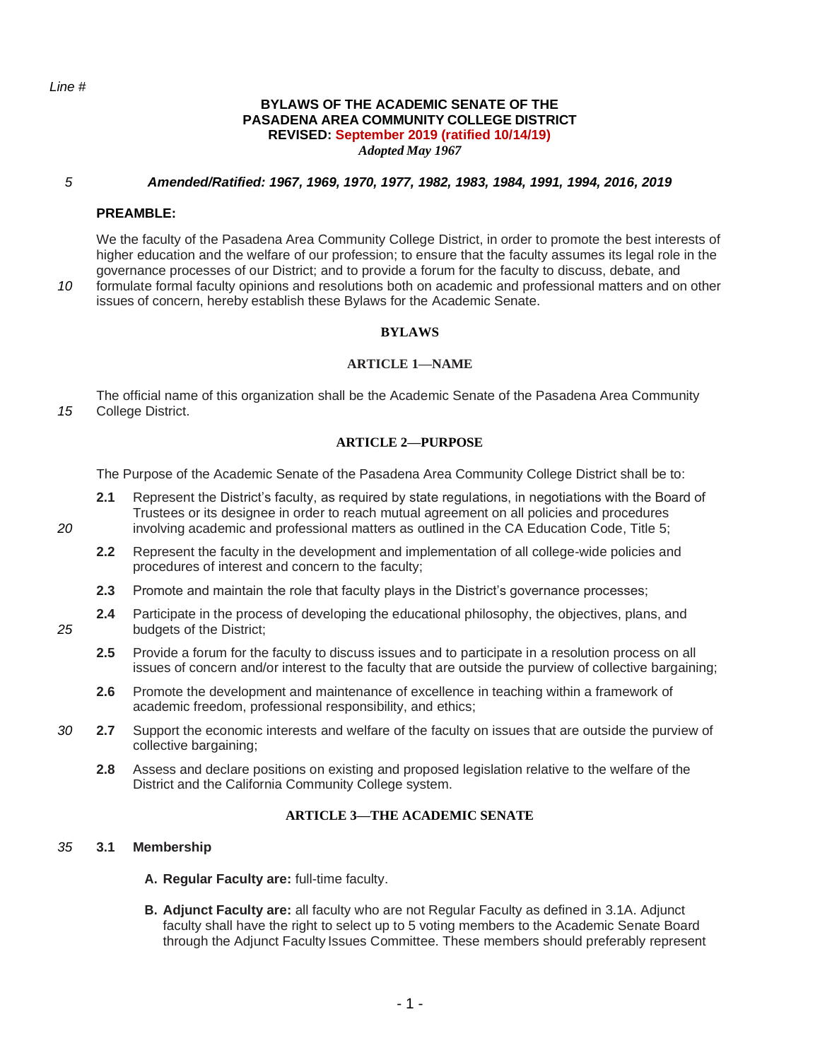#### **BYLAWS OF THE ACADEMIC SENATE OF THE PASADENA AREA COMMUNITY COLLEGE DISTRICT REVISED: September 2019 (ratified 10/14/19)** *Adopted May 1967*

#### *5 Amended/Ratified: 1967, 1969, 1970, 1977, 1982, 1983, 1984, 1991, 1994, 2016, 2019*

#### **PREAMBLE:**

We the faculty of the Pasadena Area Community College District, in order to promote the best interests of higher education and the welfare of our profession; to ensure that the faculty assumes its legal role in the governance processes of our District; and to provide a forum for the faculty to discuss, debate, and *10* formulate formal faculty opinions and resolutions both on academic and professional matters and on other

issues of concern, hereby establish these Bylaws for the Academic Senate.

### **BYLAWS**

#### **ARTICLE 1—NAME**

The official name of this organization shall be the Academic Senate of the Pasadena Area Community *15* College District.

### **ARTICLE 2—PURPOSE**

The Purpose of the Academic Senate of the Pasadena Area Community College District shall be to:

- **2.1** Represent the District's faculty, as required by state regulations, in negotiations with the Board of Trustees or its designee in order to reach mutual agreement on all policies and procedures *20* involving academic and professional matters as outlined in the CA Education Code, Title 5;
	- **2.2** Represent the faculty in the development and implementation of all college-wide policies and procedures of interest and concern to the faculty;
	- **2.3** Promote and maintain the role that faculty plays in the District's governance processes;
- **2.4** Participate in the process of developing the educational philosophy, the objectives, plans, and *25* budgets of the District;
	- **2.5** Provide a forum for the faculty to discuss issues and to participate in a resolution process on all issues of concern and/or interest to the faculty that are outside the purview of collective bargaining;
	- **2.6** Promote the development and maintenance of excellence in teaching within a framework of academic freedom, professional responsibility, and ethics;
- *30* **2.7** Support the economic interests and welfare of the faculty on issues that are outside the purview of collective bargaining;
	- **2.8** Assess and declare positions on existing and proposed legislation relative to the welfare of the District and the California Community College system.

#### **ARTICLE 3—THE ACADEMIC SENATE**

#### *35* **3.1 Membership**

- **A. Regular Faculty are:** full-time faculty.
- **B. Adjunct Faculty are:** all faculty who are not Regular Faculty as defined in 3.1A. Adjunct faculty shall have the right to select up to 5 voting members to the Academic Senate Board through the Adjunct Faculty Issues Committee. These members should preferably represent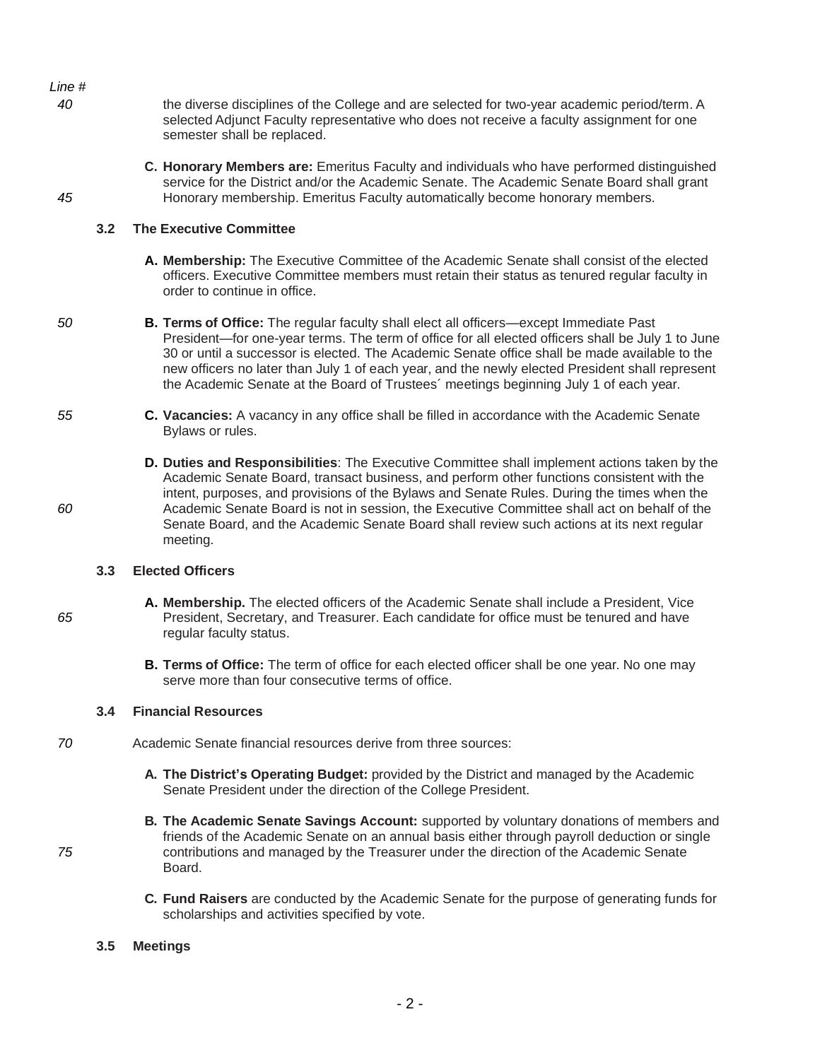*Line # 40* the diverse disciplines of the College and are selected for two-year academic period/term. A semester shall be replaced. 45 **Honorary membership. Emeritus Faculty automatically become honorary members. 3.2 The Executive Committee A. Membership:** The Executive Committee of the Academic Senate shall consist ofthe elected officers. Executive Committee members must retain their status as tenured regular faculty in order to continue in office. *50* **B. Terms of Office:** The regular faculty shall elect all officers—except Immediate Past President—for one-year terms. The term of office for all elected officers shall be July 1 to June 30 or until a successor is elected. The Academic Senate office shall be made available to the new officers no later than July 1 of each year, and the newly elected President shall represent the Academic Senate at the Board of Trustees´ meetings beginning July 1 of each year. *55* **C. Vacancies:** A vacancy in any office shall be filled in accordance with the Academic Senate Bylaws or rules.

**D. Duties and Responsibilities**: The Executive Committee shall implement actions taken by the Academic Senate Board, transact business, and perform other functions consistent with the intent, purposes, and provisions of the Bylaws and Senate Rules. During the times when the *60* Academic Senate Board is not in session, the Executive Committee shall act on behalf of the Senate Board, and the Academic Senate Board shall review such actions at its next regular meeting.

### **3.3 Elected Officers**

- **A. Membership.** The elected officers of the Academic Senate shall include a President, Vice *65* President, Secretary, and Treasurer. Each candidate for office must be tenured and have regular faculty status.
	- **B. Terms of Office:** The term of office for each elected officer shall be one year. No one may serve more than four consecutive terms of office.

#### **3.4 Financial Resources**

- *70* Academic Senate financial resources derive from three sources:
	- **A. The District's Operating Budget:** provided by the District and managed by the Academic Senate President under the direction of the College President.
- **B. The Academic Senate Savings Account:** supported by voluntary donations of members and friends of the Academic Senate on an annual basis either through payroll deduction or single *75* contributions and managed by the Treasurer under the direction of the Academic Senate Board.
	- **C. Fund Raisers** are conducted by the Academic Senate for the purpose of generating funds for scholarships and activities specified by vote.

#### **3.5 Meetings**

selected Adjunct Faculty representative who does not receive a faculty assignment for one

**C. Honorary Members are:** Emeritus Faculty and individuals who have performed distinguished service for the District and/or the Academic Senate. The Academic Senate Board shall grant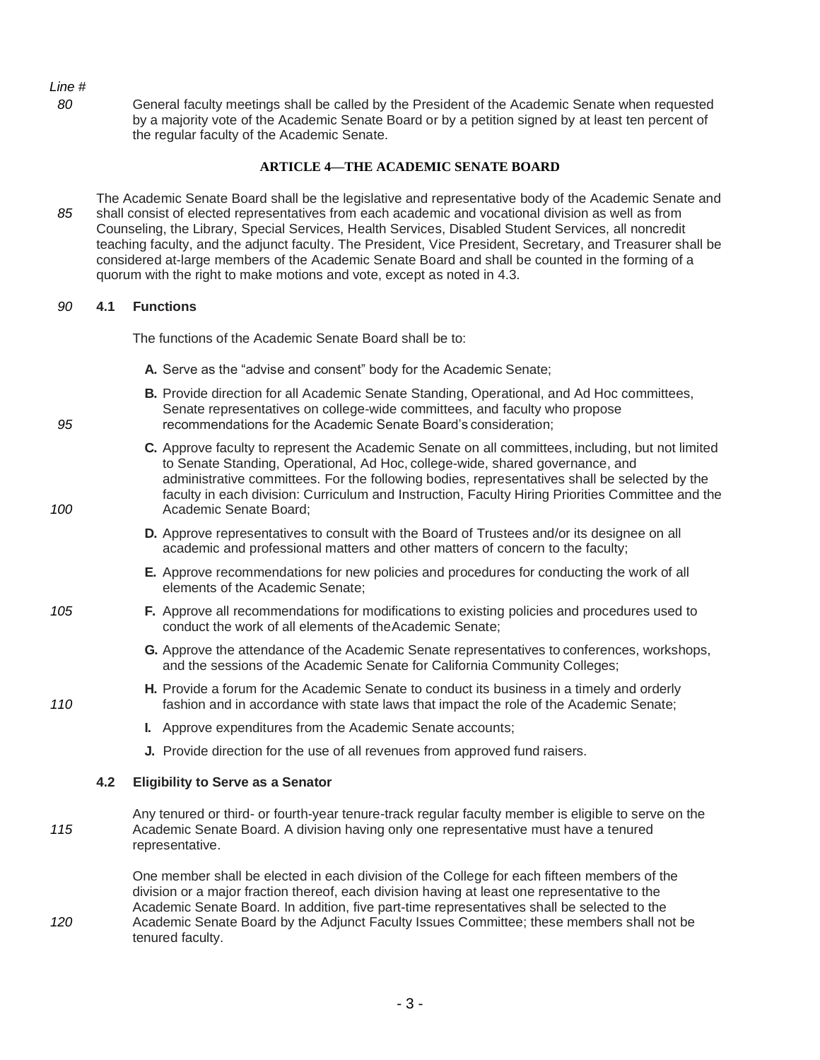*80* General faculty meetings shall be called by the President of the Academic Senate when requested by a majority vote of the Academic Senate Board or by a petition signed by at least ten percent of the regular faculty of the Academic Senate.

### **ARTICLE 4—THE ACADEMIC SENATE BOARD**

The Academic Senate Board shall be the legislative and representative body of the Academic Senate and *85* shall consist of elected representatives from each academic and vocational division as well as from Counseling, the Library, Special Services, Health Services, Disabled Student Services, all noncredit teaching faculty, and the adjunct faculty. The President, Vice President, Secretary, and Treasurer shall be considered at-large members of the Academic Senate Board and shall be counted in the forming of a quorum with the right to make motions and vote, except as noted in 4.3.

#### *90* **4.1 Functions**

The functions of the Academic Senate Board shall be to:

- **A.** Serve as the "advise and consent" body for the Academic Senate;
- **B.** Provide direction for all Academic Senate Standing, Operational, and Ad Hoc committees, Senate representatives on college-wide committees, and faculty who propose *95* recommendations for the Academic Senate Board's consideration;
- **C.** Approve faculty to represent the Academic Senate on all committees, including, but not limited to Senate Standing, Operational, Ad Hoc, college-wide, shared governance, and administrative committees. For the following bodies, representatives shall be selected by the faculty in each division: Curriculum and Instruction, Faculty Hiring Priorities Committee and the *100* Academic Senate Board;
	- **D.** Approve representatives to consult with the Board of Trustees and/or its designee on all academic and professional matters and other matters of concern to the faculty;
	- **E.** Approve recommendations for new policies and procedures for conducting the work of all elements of the Academic Senate;
- *105* **F.** Approve all recommendations for modifications to existing policies and procedures used to conduct the work of all elements of theAcademic Senate;
	- **G.** Approve the attendance of the Academic Senate representatives toconferences, workshops, and the sessions of the Academic Senate for California Community Colleges;
- **H.** Provide a forum for the Academic Senate to conduct its business in a timely and orderly *110* fashion and in accordance with state laws that impact the role of the Academic Senate;
	- **I.** Approve expenditures from the Academic Senate accounts;
	- **J.** Provide direction for the use of all revenues from approved fund raisers.

#### **4.2 Eligibility to Serve as a Senator**

Any tenured or third- or fourth-year tenure-track regular faculty member is eligible to serve on the *115* Academic Senate Board. A division having only one representative must have a tenured representative.

One member shall be elected in each division of the College for each fifteen members of the division or a major fraction thereof, each division having at least one representative to the Academic Senate Board. In addition, five part-time representatives shall be selected to the *120* Academic Senate Board by the Adjunct Faculty Issues Committee; these members shall not be tenured faculty.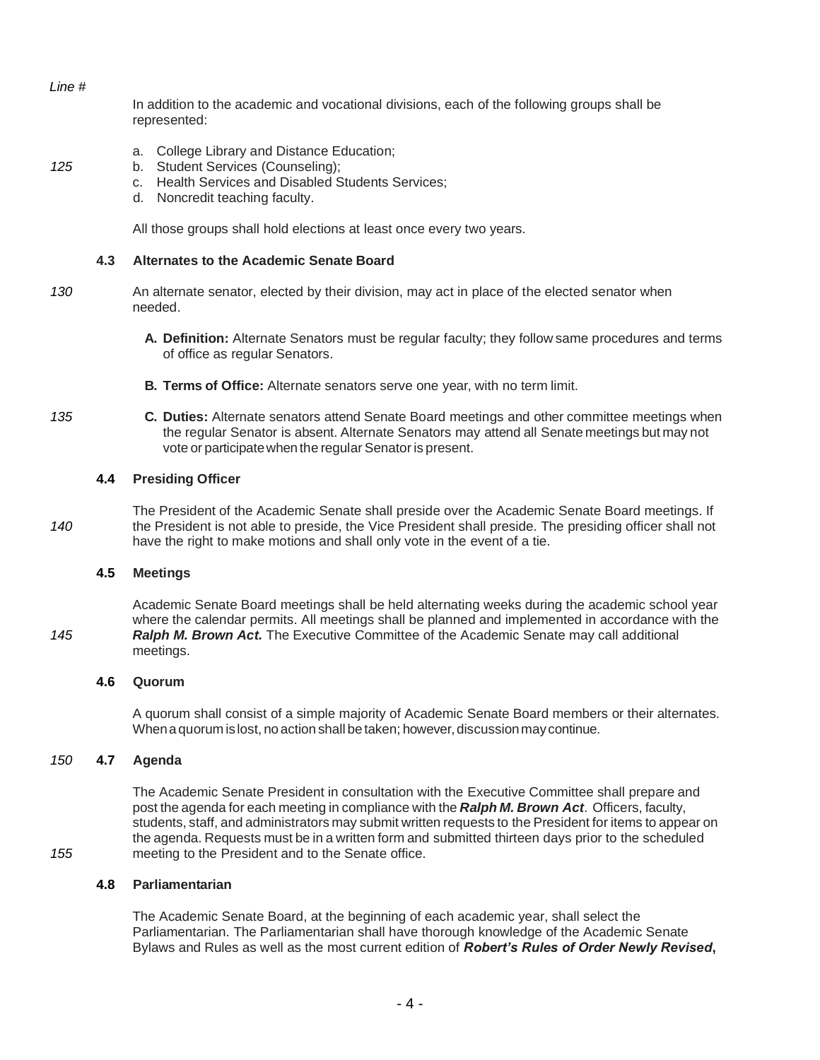In addition to the academic and vocational divisions, each of the following groups shall be represented:

- a. College Library and Distance Education;
- *125* b. Student Services (Counseling);
	- c. Health Services and Disabled Students Services;
	- d. Noncredit teaching faculty.

All those groups shall hold elections at least once every two years.

### **4.3 Alternates to the Academic Senate Board**

- *130* An alternate senator, elected by their division, may act in place of the elected senator when needed.
	- **A. Definition:** Alternate Senators must be regular faculty; they follow same procedures and terms of office as regular Senators.
	- **B. Terms of Office:** Alternate senators serve one year, with no term limit.
- *135* **C. Duties:** Alternate senators attend Senate Board meetings and other committee meetings when the regular Senator is absent. Alternate Senators may attend all Senate meetings but may not vote or participate when the regular Senator is present.

### **4.4 Presiding Officer**

The President of the Academic Senate shall preside over the Academic Senate Board meetings. If *140* the President is not able to preside, the Vice President shall preside. The presiding officer shall not have the right to make motions and shall only vote in the event of a tie.

#### **4.5 Meetings**

Academic Senate Board meetings shall be held alternating weeks during the academic school year where the calendar permits. All meetings shall be planned and implemented in accordance with the *145 Ralph M. Brown Act.* The Executive Committee of the Academic Senate may call additional meetings.

#### **4.6 Quorum**

A quorum shall consist of a simple majority of Academic Senate Board members or their alternates. When a quorum is lost, no action shall be taken; however, discussion may continue.

#### *150* **4.7 Agenda**

The Academic Senate President in consultation with the Executive Committee shall prepare and post the agenda for each meeting in compliance with the **Ralph M. Brown Act**. Officers, faculty, students, staff, and administrators may submit written requests to the President for items to appear on the agenda. Requests must be in a written form and submitted thirteen days prior to the scheduled *155* meeting to the President and to the Senate office.

#### **4.8 Parliamentarian**

The Academic Senate Board, at the beginning of each academic year, shall select the Parliamentarian. The Parliamentarian shall have thorough knowledge of the Academic Senate Bylaws and Rules as well as the most current edition of *Robert's Rules of Order Newly Revised***,**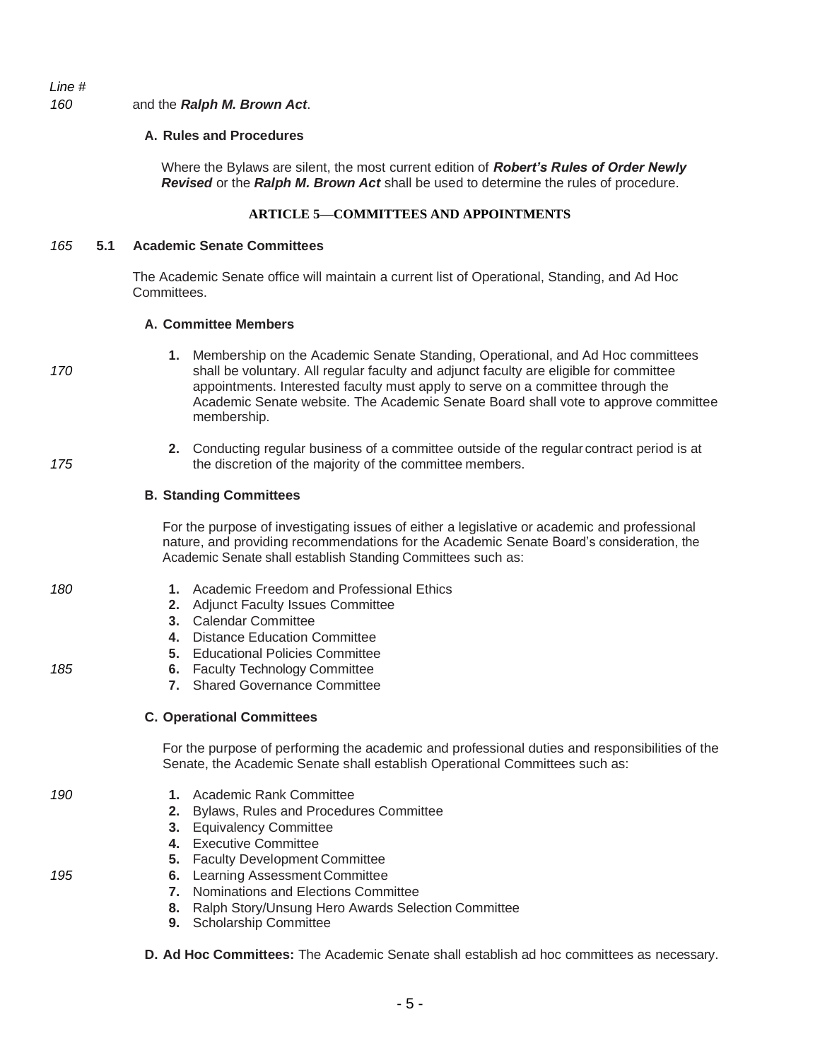### *160* and the *Ralph M. Brown Act*.

#### **A. Rules and Procedures**

Where the Bylaws are silent, the most current edition of *Robert's Rules of Order Newly Revised* or the *Ralph M. Brown Act* shall be used to determine the rules of procedure.

### **ARTICLE 5—COMMITTEES AND APPOINTMENTS**

#### *165* **5.1 Academic Senate Committees**

The Academic Senate office will maintain a current list of Operational, Standing, and Ad Hoc Committees.

### **A. Committee Members**

- **1.** Membership on the Academic Senate Standing, Operational, and Ad Hoc committees 170 shall be voluntary. All regular faculty and adjunct faculty are eligible for committee appointments. Interested faculty must apply to serve on a committee through the Academic Senate website. The Academic Senate Board shall vote to approve committee membership.
- **2.** Conducting regular business of a committee outside of the regular contract period is at 175 the discretion of the majority of the committee members.

### **B. Standing Committees**

For the purpose of investigating issues of either a legislative or academic and professional nature, and providing recommendations for the Academic Senate Board's consideration, the Academic Senate shall establish Standing Committees such as:

### *180* **1.** Academic Freedom and Professional Ethics

- **2.** Adjunct Faculty Issues Committee
- **3.** Calendar Committee
- **4.** Distance Education Committee
- **5.** Educational Policies Committee
- *185* **6.** Faculty Technology Committee
	- **7.** Shared Governance Committee

#### **C. Operational Committees**

For the purpose of performing the academic and professional duties and responsibilities of the Senate, the Academic Senate shall establish Operational Committees such as:

- *190* **1.** Academic Rank Committee
	- **2.** Bylaws, Rules and Procedures Committee
	- **3.** Equivalency Committee
	- **4.** Executive Committee
	- **5.** Faculty Development Committee
- *195* **6.** Learning Assessment Committee
	- **7.** Nominations and Elections Committee
	- **8.** Ralph Story/Unsung Hero Awards Selection Committee
	- **9.** Scholarship Committee
	- **D. Ad Hoc Committees:** The Academic Senate shall establish ad hoc committees as necessary.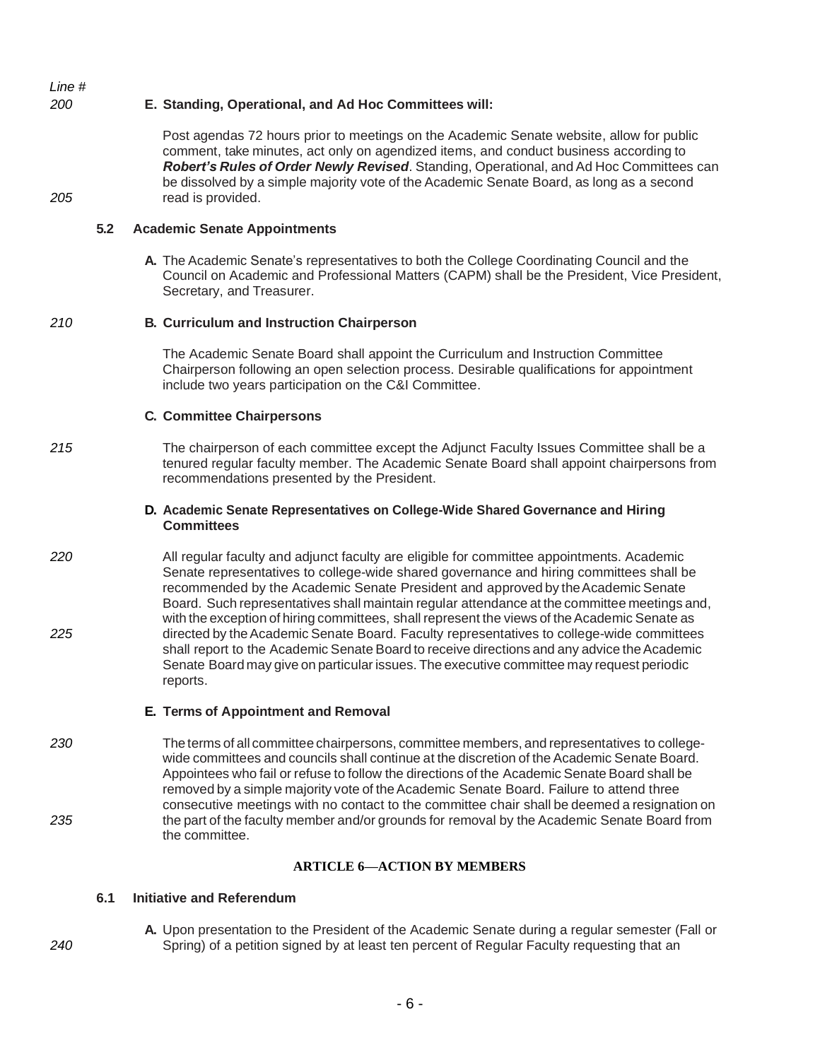### *200* **E. Standing, Operational, and Ad Hoc Committees will:**

Post agendas 72 hours prior to meetings on the Academic Senate website, allow for public comment, take minutes, act only on agendized items, and conduct business according to *Robert's Rules of Order Newly Revised*. Standing, Operational, and Ad Hoc Committees can be dissolved by a simple majority vote of the Academic Senate Board, as long as a second *205* read is provided.

### **5.2 Academic Senate Appointments**

**A.** The Academic Senate's representatives to both the College Coordinating Council and the Council on Academic and Professional Matters (CAPM) shall be the President, Vice President, Secretary, and Treasurer.

### *210* **B. Curriculum and Instruction Chairperson**

The Academic Senate Board shall appoint the Curriculum and Instruction Committee Chairperson following an open selection process. Desirable qualifications for appointment include two years participation on the C&I Committee.

### **C. Committee Chairpersons**

*215* The chairperson of each committee except the Adjunct Faculty Issues Committee shall be a tenured regular faculty member. The Academic Senate Board shall appoint chairpersons from recommendations presented by the President.

#### **D. Academic Senate Representatives on College-Wide Shared Governance and Hiring Committees**

*220* All regular faculty and adjunct faculty are eligible for committee appointments. Academic Senate representatives to college-wide shared governance and hiring committees shall be recommended by the Academic Senate President and approvedby theAcademic Senate Board. Such representatives shall maintain regular attendance at the committee meetings and, with the exception of hiring committees, shall represent the views of the Academic Senate as *225* directedby theAcademic Senate Board. Faculty representatives to college-wide committees shall report to the Academic Senate Board to receive directions and any advice the Academic Senate Board may give on particular issues. The executive committee may request periodic reports.

#### **E. Terms of Appointment and Removal**

230 The terms of all committee chairpersons, committee members, and representatives to collegewide committees and councils shall continue at the discretion of the Academic Senate Board. Appointees who fail or refuse to follow the directions of the Academic Senate Board shall be removed by a simple majority vote of the Academic Senate Board. Failure to attend three consecutive meetings with no contact to the committee chair shall be deemed a resignation on *235* thepartofthefaculty memberand/orgrounds for removal by the Academic Senate Board from the committee.

### **ARTICLE 6—ACTION BY MEMBERS**

### **6.1 Initiative and Referendum**

**A.** Upon presentation to the President of the Academic Senate during a regular semester (Fall or *240* Spring) of a petition signed by at least ten percent of Regular Faculty requesting that an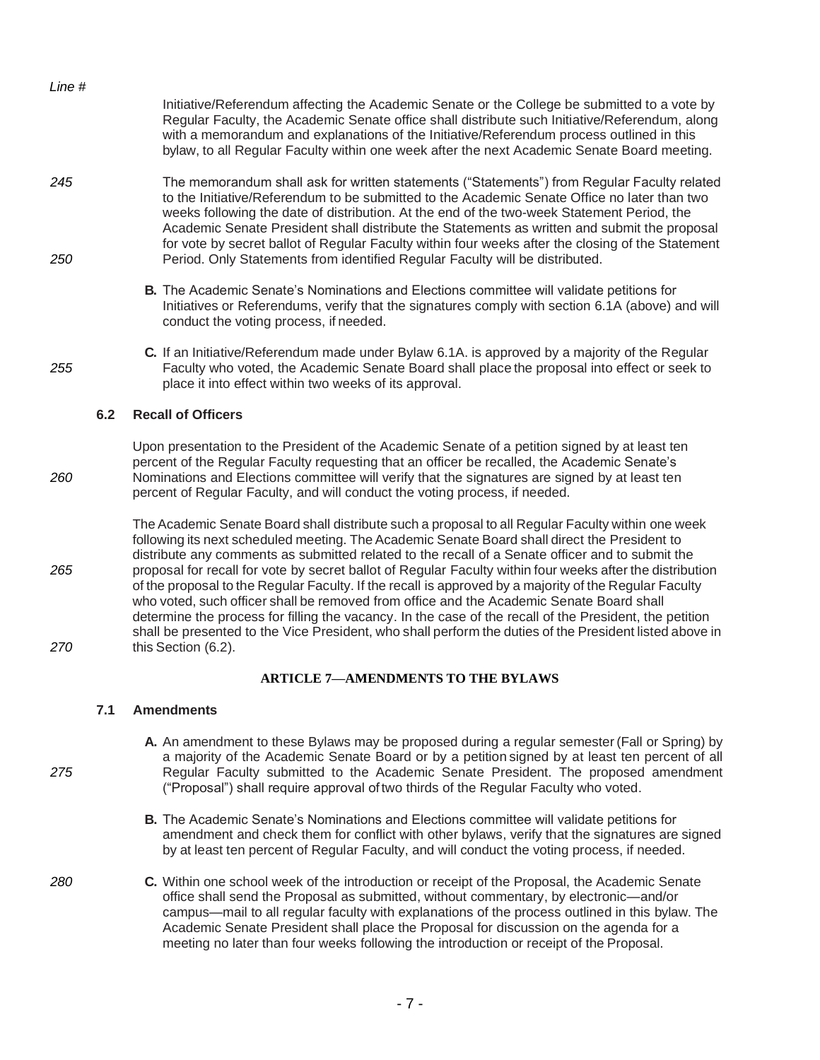| Line # |                                                                                                                                                                                                                                                                                                                                                                                                                                                                                                |
|--------|------------------------------------------------------------------------------------------------------------------------------------------------------------------------------------------------------------------------------------------------------------------------------------------------------------------------------------------------------------------------------------------------------------------------------------------------------------------------------------------------|
|        | Initiative/Referendum affecting the Academic Senate or the College be submitted to a vote by<br>Regular Faculty, the Academic Senate office shall distribute such Initiative/Referendum, along<br>with a memorandum and explanations of the Initiative/Referendum process outlined in this<br>bylaw, to all Regular Faculty within one week after the next Academic Senate Board meeting.                                                                                                      |
| 245    | The memorandum shall ask for written statements ("Statements") from Regular Faculty related<br>to the Initiative/Referendum to be submitted to the Academic Senate Office no later than two<br>weeks following the date of distribution. At the end of the two-week Statement Period, the<br>Academic Senate President shall distribute the Statements as written and submit the proposal<br>for vote by secret ballot of Regular Faculty within four weeks after the closing of the Statement |
| 250    | Period. Only Statements from identified Regular Faculty will be distributed.                                                                                                                                                                                                                                                                                                                                                                                                                   |

- **B.** The Academic Senate's Nominations and Elections committee will validate petitions for Initiatives or Referendums, verify that the signatures comply with section 6.1A (above) and will conduct the voting process, if needed.
- **C.** If an Initiative/Referendum made under Bylaw 6.1A. is approved by a majority of the Regular *255* Faculty who voted, the Academic Senate Board shall placethe proposal into effect or seek to place it into effect within two weeks of its approval.

#### **6.2 Recall of Officers**

Upon presentation to the President of the Academic Senate of a petition signed by at least ten percent of the Regular Faculty requesting that an officer be recalled, the Academic Senate's *260* Nominations and Elections committee will verify that the signatures are signed by at least ten percent of Regular Faculty, and will conduct the voting process, if needed.

The Academic Senate Board shall distribute such a proposal to all Regular Faculty within one week followingits next scheduled meeting. The Academic Senate Board shall direct the President to distribute any comments as submitted related to the recall of a Senate officer and to submit the *265* proposal for recall for vote by secret ballot of Regular Faculty withinfour weeks after the distribution ofthe proposal tothe Regular Faculty.If the recall is approvedby a majority ofthe Regular Faculty who voted, such officer shall be removed from office and the Academic Senate Board shall determine the process for filling the vacancy. In the case of the recall of the President, the petition shall be presented to the Vice President, who shall perform the duties of the President listed above in *270* this Section (6.2).

#### **ARTICLE 7—AMENDMENTS TO THE BYLAWS**

#### **7.1 Amendments**

**A.** An amendment to these Bylaws may be proposed during a regular semester (Fall or Spring) by a majority of the Academic Senate Board or by a petitionsigned by at least ten percent of all *275* Regular Faculty submitted to the Academic Senate President. The proposed amendment ("Proposal") shall require approval oftwo thirds of the Regular Faculty who voted.

> **B.** The Academic Senate's Nominations and Elections committee will validate petitions for amendment and check them for conflict with other bylaws, verify that the signatures are signed by at least ten percent of Regular Faculty, and will conduct the voting process, if needed.

*280* **C.** Within one school week of the introduction or receipt of the Proposal, the Academic Senate office shall send the Proposal as submitted, without commentary, by electronic—and/or campus—mail to all regular faculty with explanations of the process outlined in this bylaw. The Academic Senate President shall place the Proposal for discussion on the agenda for a meeting no later than four weeks following the introduction or receipt of the Proposal.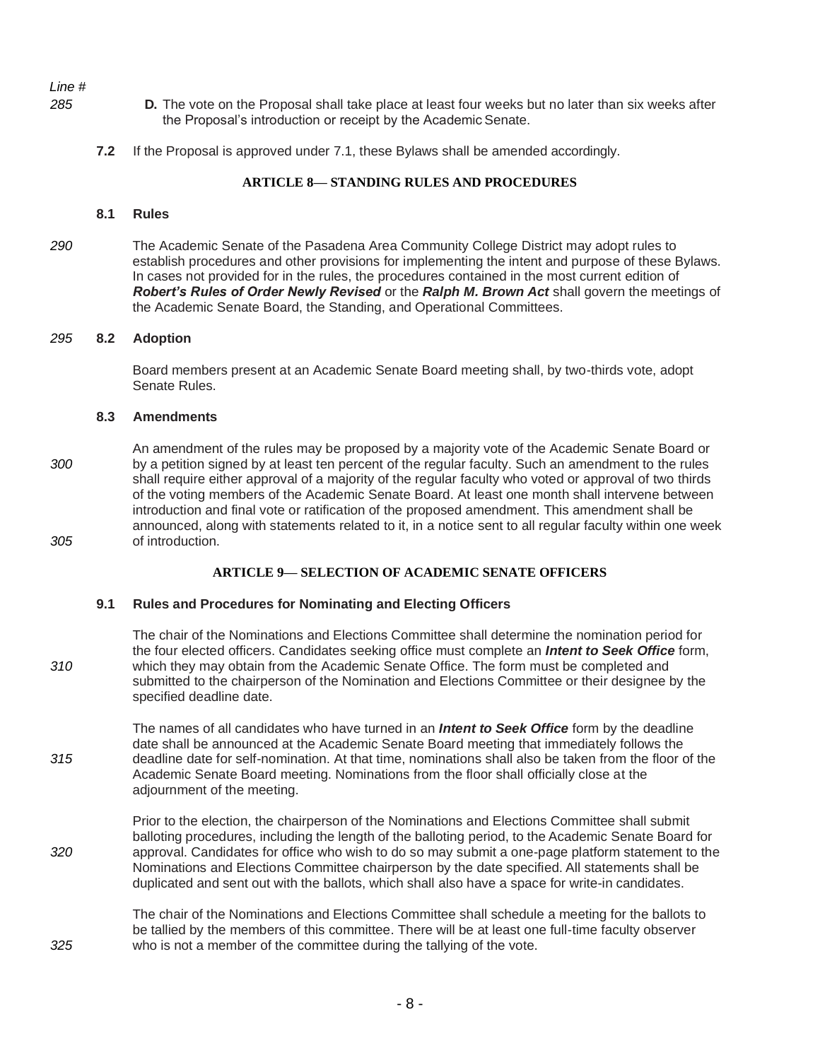- *285* **D.** The vote on the Proposal shall take place at least four weeks but no later than six weeks after the Proposal's introduction or receipt by the Academic Senate.
	- **7.2** If the Proposal is approved under 7.1, these Bylaws shall be amended accordingly.

### **ARTICLE 8— STANDING RULES AND PROCEDURES**

### **8.1 Rules**

*290* The Academic Senate of the Pasadena Area Community College District may adopt rules to establish procedures and other provisions for implementing the intent and purpose of these Bylaws. In cases not provided for in the rules, the procedures contained in the most current edition of *Robert's Rules of Order Newly Revised* or the *Ralph M. Brown Act* shall govern the meetings of the Academic Senate Board, the Standing, and Operational Committees.

### *295* **8.2 Adoption**

Board members present at an Academic Senate Board meeting shall, by two-thirds vote, adopt Senate Rules.

### **8.3 Amendments**

An amendment of the rules may be proposed by a majority vote of the Academic Senate Board or *300* by a petition signed by at least ten percent of the regular faculty. Such an amendment to the rules shall require either approval of a majority of the regular faculty who voted or approval of two thirds of the voting members of the Academic Senate Board. At least one month shall intervene between introduction and final vote or ratification of the proposed amendment. This amendment shall be announced, along with statements related to it, in a notice sent to all regular faculty within one week *305* of introduction.

### **ARTICLE 9— SELECTION OF ACADEMIC SENATE OFFICERS**

#### **9.1 Rules and Procedures for Nominating and Electing Officers**

The chair of the Nominations and Elections Committee shall determine the nomination period for the four elected officers. Candidates seeking office must complete an *Intent to Seek Office* form, *310* which they may obtain from the Academic Senate Office. The form must be completed and submitted to the chairperson of the Nomination and Elections Committee or their designee by the specified deadline date.

The names of all candidates who have turned in an *Intent to Seek Office* form by the deadline date shall be announced at the Academic Senate Board meeting that immediately follows the *315* deadline date for self-nomination. At that time, nominations shall also be taken from the floor of the Academic Senate Board meeting. Nominations from the floor shall officially close at the adjournment of the meeting.

Prior to the election, the chairperson of the Nominations and Elections Committee shall submit balloting procedures, including the length of the balloting period, to the Academic Senate Board for *320* approval. Candidates for office who wish to do so may submit a one-page platform statement to the Nominations and Elections Committee chairperson by the date specified. All statements shall be duplicated and sent out with the ballots, which shall also have a space for write-in candidates.

The chair of the Nominations and Elections Committee shall schedule a meeting for the ballots to be tallied by the members of this committee. There will be at least one full-time faculty observer *325* who is not a member of the committee during the tallying of the vote.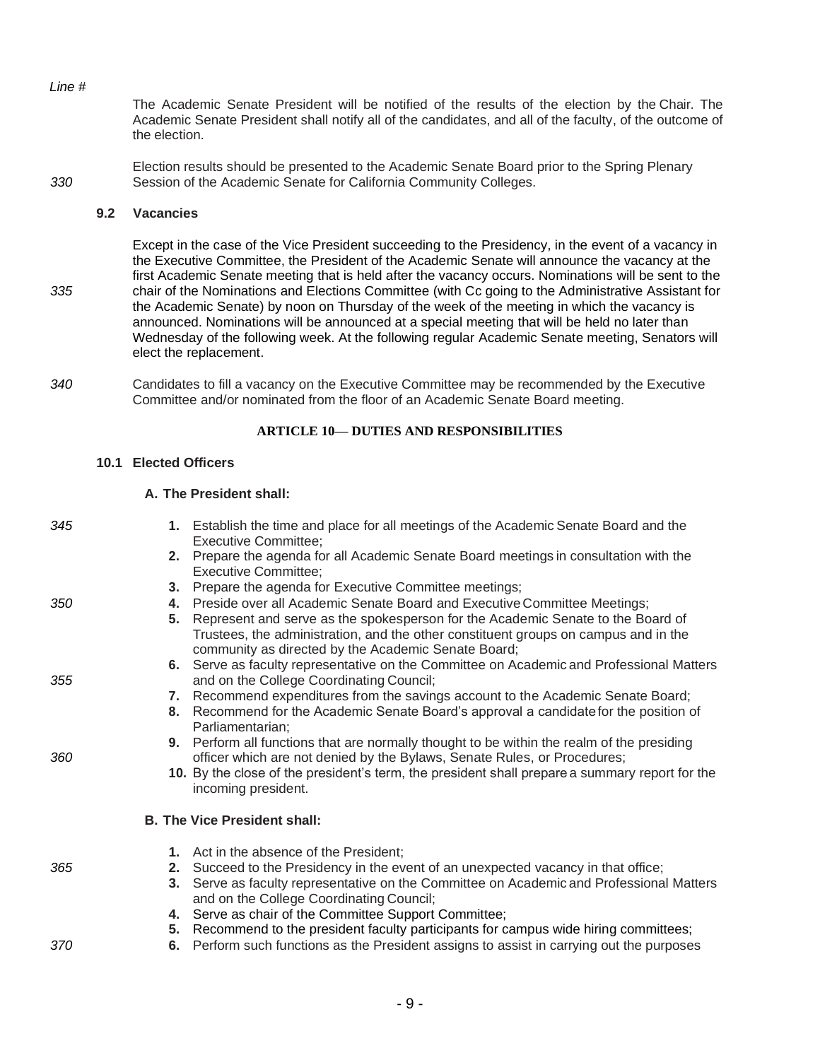The Academic Senate President will be notified of the results of the election by the Chair. The Academic Senate President shall notify all of the candidates, and all of the faculty, of the outcome of the election.

Election results should be presented to the Academic Senate Board prior to the Spring Plenary *330* Session of the Academic Senate for California Community Colleges.

### **9.2 Vacancies**

Except in the case of the Vice President succeeding to the Presidency, in the event of a vacancy in the Executive Committee, the President of the Academic Senate will announce the vacancy at the first Academic Senate meeting that is held after the vacancy occurs. Nominations will be sent to the *335* chair of the Nominations and Elections Committee (with Cc going to the Administrative Assistant for the Academic Senate) by noon on Thursday of the week of the meeting in which the vacancy is announced. Nominations will be announced at a special meeting that will be held no later than Wednesday of the following week. At the following regular Academic Senate meeting, Senators will elect the replacement.

*340* Candidates to fill a vacancy on the Executive Committee may be recommended by the Executive Committee and/or nominated from the floor of an Academic Senate Board meeting.

# **ARTICLE 10— DUTIES AND RESPONSIBILITIES**

# **10.1 Elected Officers**

# **A. The President shall:**

| 345 |    | 1. Establish the time and place for all meetings of the Academic Senate Board and the                                                |
|-----|----|--------------------------------------------------------------------------------------------------------------------------------------|
|     |    | <b>Executive Committee;</b><br>2. Prepare the agenda for all Academic Senate Board meetings in consultation with the                 |
|     |    | <b>Executive Committee;</b>                                                                                                          |
|     | 3. | Prepare the agenda for Executive Committee meetings;                                                                                 |
| 350 | 4. | Preside over all Academic Senate Board and Executive Committee Meetings;                                                             |
|     | 5. | Represent and serve as the spokesperson for the Academic Senate to the Board of                                                      |
|     |    | Trustees, the administration, and the other constituent groups on campus and in the                                                  |
|     |    | community as directed by the Academic Senate Board;                                                                                  |
| 355 |    | 6. Serve as faculty representative on the Committee on Academic and Professional Matters<br>and on the College Coordinating Council; |
|     | 7. | Recommend expenditures from the savings account to the Academic Senate Board;                                                        |
|     | 8. | Recommend for the Academic Senate Board's approval a candidate for the position of<br>Parliamentarian:                               |
|     |    | 9. Perform all functions that are normally thought to be within the realm of the presiding                                           |
| 360 |    | officer which are not denied by the Bylaws, Senate Rules, or Procedures;                                                             |
|     |    | 10. By the close of the president's term, the president shall prepare a summary report for the<br>incoming president.                |
|     |    | <b>B. The Vice President shall:</b>                                                                                                  |
|     |    | 1. Act in the absence of the President;                                                                                              |
| 365 |    | 2. Succeed to the Presidency in the event of an unexpected vacancy in that office;                                                   |
|     |    | 3. Serve as faculty representative on the Committee on Academic and Professional Matters                                             |
|     |    | and on the College Coordinating Council;                                                                                             |
|     | 4. | Serve as chair of the Committee Support Committee;                                                                                   |
|     | 5. | Recommend to the president faculty participants for campus wide hiring committees;                                                   |
| 370 | 6. | Perform such functions as the President assigns to assist in carrying out the purposes                                               |
|     |    |                                                                                                                                      |